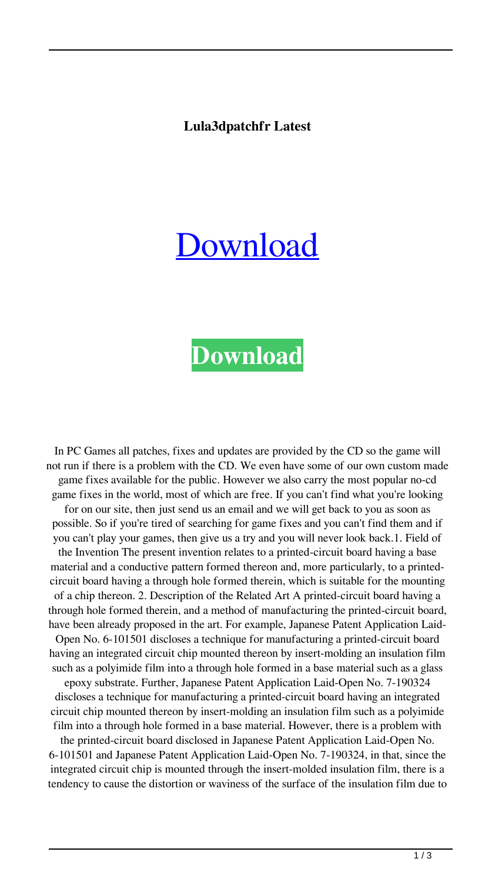## **Lula3dpatchfr Latest**

## [Download](http://evacdir.com/boxy.colbert?&galleried=strain&ZG93bmxvYWR8RHgxWjJSMGZId3hOalV5TkRZek1EVXdmSHd5TlRjMGZId29UU2tnY21WaFpDMWliRzluSUZ0R1lYTjBJRWRGVGww=panwar&underarms=THVsYTNkcGF0Y2hmcgTHV)

## **[Download](http://evacdir.com/boxy.colbert?&galleried=strain&ZG93bmxvYWR8RHgxWjJSMGZId3hOalV5TkRZek1EVXdmSHd5TlRjMGZId29UU2tnY21WaFpDMWliRzluSUZ0R1lYTjBJRWRGVGww=panwar&underarms=THVsYTNkcGF0Y2hmcgTHV)**

In PC Games all patches, fixes and updates are provided by the CD so the game will not run if there is a problem with the CD. We even have some of our own custom made game fixes available for the public. However we also carry the most popular no-cd game fixes in the world, most of which are free. If you can't find what you're looking for on our site, then just send us an email and we will get back to you as soon as possible. So if you're tired of searching for game fixes and you can't find them and if you can't play your games, then give us a try and you will never look back.1. Field of the Invention The present invention relates to a printed-circuit board having a base material and a conductive pattern formed thereon and, more particularly, to a printedcircuit board having a through hole formed therein, which is suitable for the mounting of a chip thereon. 2. Description of the Related Art A printed-circuit board having a through hole formed therein, and a method of manufacturing the printed-circuit board, have been already proposed in the art. For example, Japanese Patent Application Laid-Open No. 6-101501 discloses a technique for manufacturing a printed-circuit board having an integrated circuit chip mounted thereon by insert-molding an insulation film such as a polyimide film into a through hole formed in a base material such as a glass epoxy substrate. Further, Japanese Patent Application Laid-Open No. 7-190324 discloses a technique for manufacturing a printed-circuit board having an integrated circuit chip mounted thereon by insert-molding an insulation film such as a polyimide film into a through hole formed in a base material. However, there is a problem with the printed-circuit board disclosed in Japanese Patent Application Laid-Open No. 6-101501 and Japanese Patent Application Laid-Open No. 7-190324, in that, since the integrated circuit chip is mounted through the insert-molded insulation film, there is a tendency to cause the distortion or waviness of the surface of the insulation film due to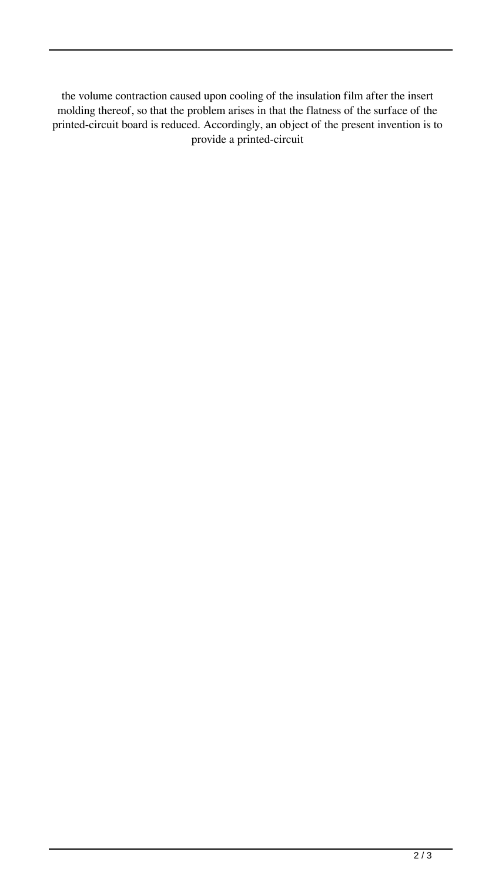the volume contraction caused upon cooling of the insulation film after the insert molding thereof, so that the problem arises in that the flatness of the surface of the printed-circuit board is reduced. Accordingly, an object of the present invention is to provide a printed-circuit